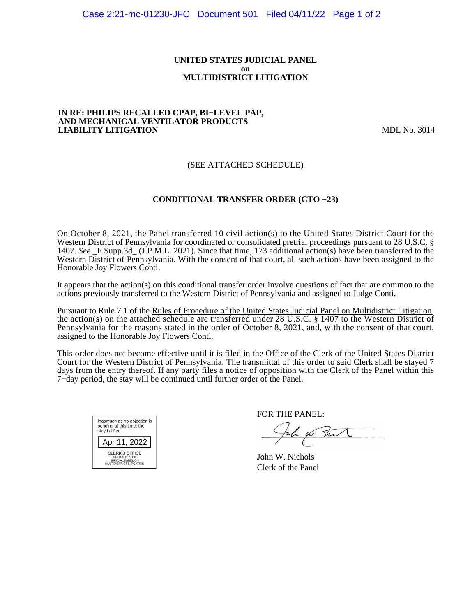#### **UNITED STATES JUDICIAL PANEL on MULTIDISTRICT LITIGATION**

#### **IN RE: PHILIPS RECALLED CPAP, BI−LEVEL PAP, AND MECHANICAL VENTILATOR PRODUCTS LIABILITY LITIGATION** MDL No. 3014

## (SEE ATTACHED SCHEDULE)

## **CONDITIONAL TRANSFER ORDER (CTO −23)**

On October 8, 2021, the Panel transferred 10 civil action(s) to the United States District Court for the Western District of Pennsylvania for coordinated or consolidated pretrial proceedings pursuant to 28 U.S.C. § 1407. *See* \_F.Supp.3d\_ (J.P.M.L. 2021). Since that time, 173 additional action(s) have been transferred to the Western District of Pennsylvania. With the consent of that court, all such actions have been assigned to the Honorable Joy Flowers Conti.

It appears that the action(s) on this conditional transfer order involve questions of fact that are common to the actions previously transferred to the Western District of Pennsylvania and assigned to Judge Conti.

Pursuant to Rule 7.1 of the Rules of Procedure of the United States Judicial Panel on Multidistrict Litigation, the action(s) on the attached schedule are transferred under 28 U.S.C. § 1407 to the Western District of Pennsylvania for the reasons stated in the order of October 8, 2021, and, with the consent of that court, assigned to the Honorable Joy Flowers Conti.

This order does not become effective until it is filed in the Office of the Clerk of the United States District Court for the Western District of Pennsylvania. The transmittal of this order to said Clerk shall be stayed 7 days from the entry thereof. If any party files a notice of opposition with the Clerk of the Panel within this 7−day period, the stay will be continued until further order of the Panel.



FOR THE PANEL:

a which

John W. Nichols Clerk of the Panel